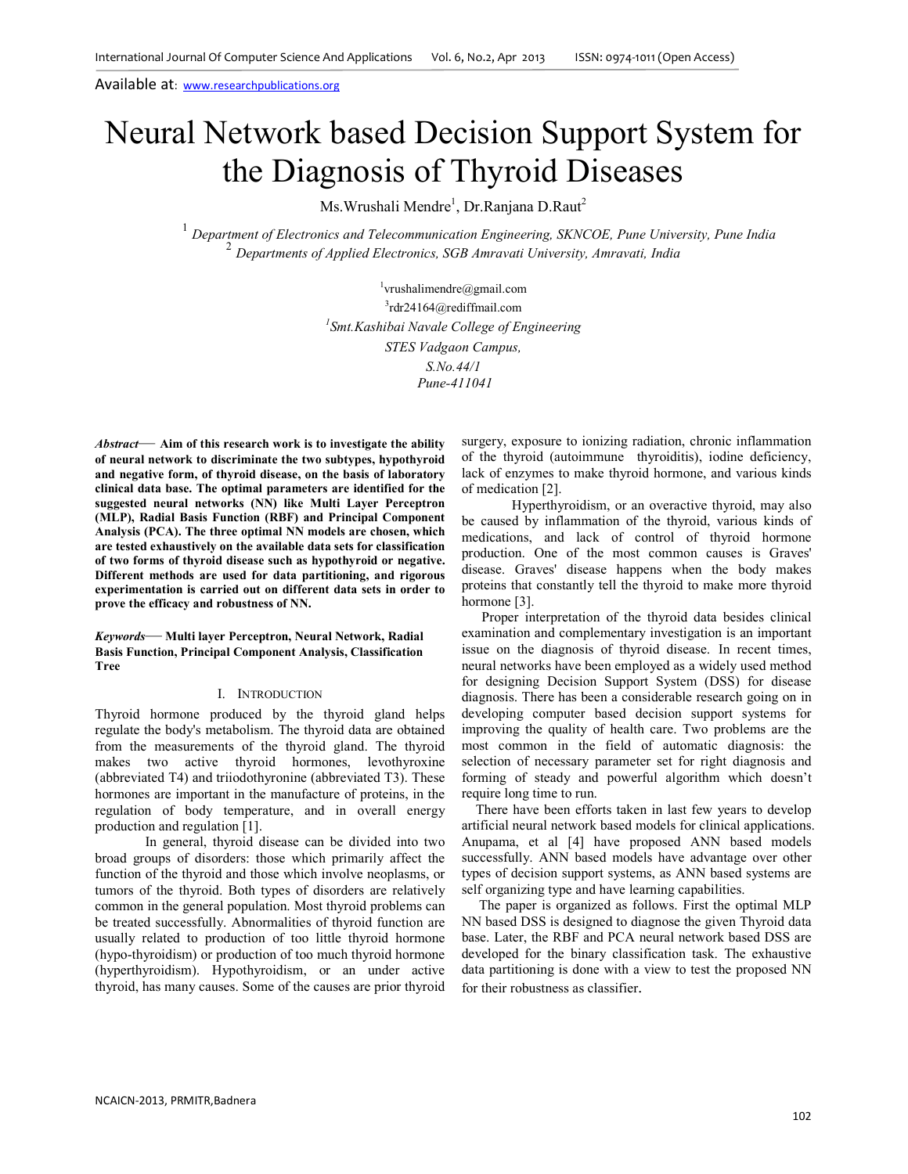# Neural Network based Decision Support System for the Diagnosis of Thyroid Diseases

Ms.Wrushali Mendre<sup>1</sup>, Dr.Ranjana D.Raut<sup>2</sup>

<sup>1</sup> Department of Electronics and Telecommunication Engineering, SKNCOE, Pune University, Pune India 2 *Departments of Applied Electronics, SGB Amravati University, Amravati, India* 

> 1 vrushalimendre@gmail.com 3 rdr24164@rediffmail.com *1 Smt.Kashibai Navale College of Engineering STES Vadgaon Campus, S.No.44/1 Pune-411041*

*Abstract*— **Aim of this research work is to investigate the ability of neural network to discriminate the two subtypes, hypothyroid and negative form, of thyroid disease, on the basis of laboratory clinical data base. The optimal parameters are identified for the suggested neural networks (NN) like Multi Layer Perceptron (MLP), Radial Basis Function (RBF) and Principal Component Analysis (PCA). The three optimal NN models are chosen, which are tested exhaustively on the available data sets for classification of two forms of thyroid disease such as hypothyroid or negative. Different methods are used for data partitioning, and rigorous experimentation is carried out on different data sets in order to prove the efficacy and robustness of NN.** 

*Keywords*— **Multi layer Perceptron, Neural Network, Radial Basis Function, Principal Component Analysis, Classification Tree** 

# I. INTRODUCTION

Thyroid hormone produced by the thyroid gland helps regulate the body's metabolism. The thyroid data are obtained from the measurements of the thyroid gland. The thyroid makes two active thyroid hormones, levothyroxine (abbreviated T4) and triiodothyronine (abbreviated T3). These hormones are important in the manufacture of proteins, in the regulation of body temperature, and in overall energy production and regulation [1].

In general, thyroid disease can be divided into two broad groups of disorders: those which primarily affect the function of the thyroid and those which involve neoplasms, or tumors of the thyroid. Both types of disorders are relatively common in the general population. Most thyroid problems can be treated successfully. Abnormalities of thyroid function are usually related to production of too little thyroid hormone (hypo-thyroidism) or production of too much thyroid hormone (hyperthyroidism). Hypothyroidism, or an under active thyroid, has many causes. Some of the causes are prior thyroid

surgery, exposure to ionizing radiation, chronic inflammation of the thyroid (autoimmune thyroiditis), iodine deficiency, lack of enzymes to make thyroid hormone, and various kinds of medication [2].

Hyperthyroidism, or an overactive thyroid, may also be caused by inflammation of the thyroid, various kinds of medications, and lack of control of thyroid hormone production. One of the most common causes is Graves' disease. Graves' disease happens when the body makes proteins that constantly tell the thyroid to make more thyroid hormone [3].

Proper interpretation of the thyroid data besides clinical examination and complementary investigation is an important issue on the diagnosis of thyroid disease. In recent times, neural networks have been employed as a widely used method for designing Decision Support System (DSS) for disease diagnosis. There has been a considerable research going on in developing computer based decision support systems for improving the quality of health care. Two problems are the most common in the field of automatic diagnosis: the selection of necessary parameter set for right diagnosis and forming of steady and powerful algorithm which doesn't require long time to run.

There have been efforts taken in last few years to develop artificial neural network based models for clinical applications. Anupama, et al [4] have proposed ANN based models successfully. ANN based models have advantage over other types of decision support systems, as ANN based systems are self organizing type and have learning capabilities.

 The paper is organized as follows. First the optimal MLP NN based DSS is designed to diagnose the given Thyroid data base. Later, the RBF and PCA neural network based DSS are developed for the binary classification task. The exhaustive data partitioning is done with a view to test the proposed NN for their robustness as classifier.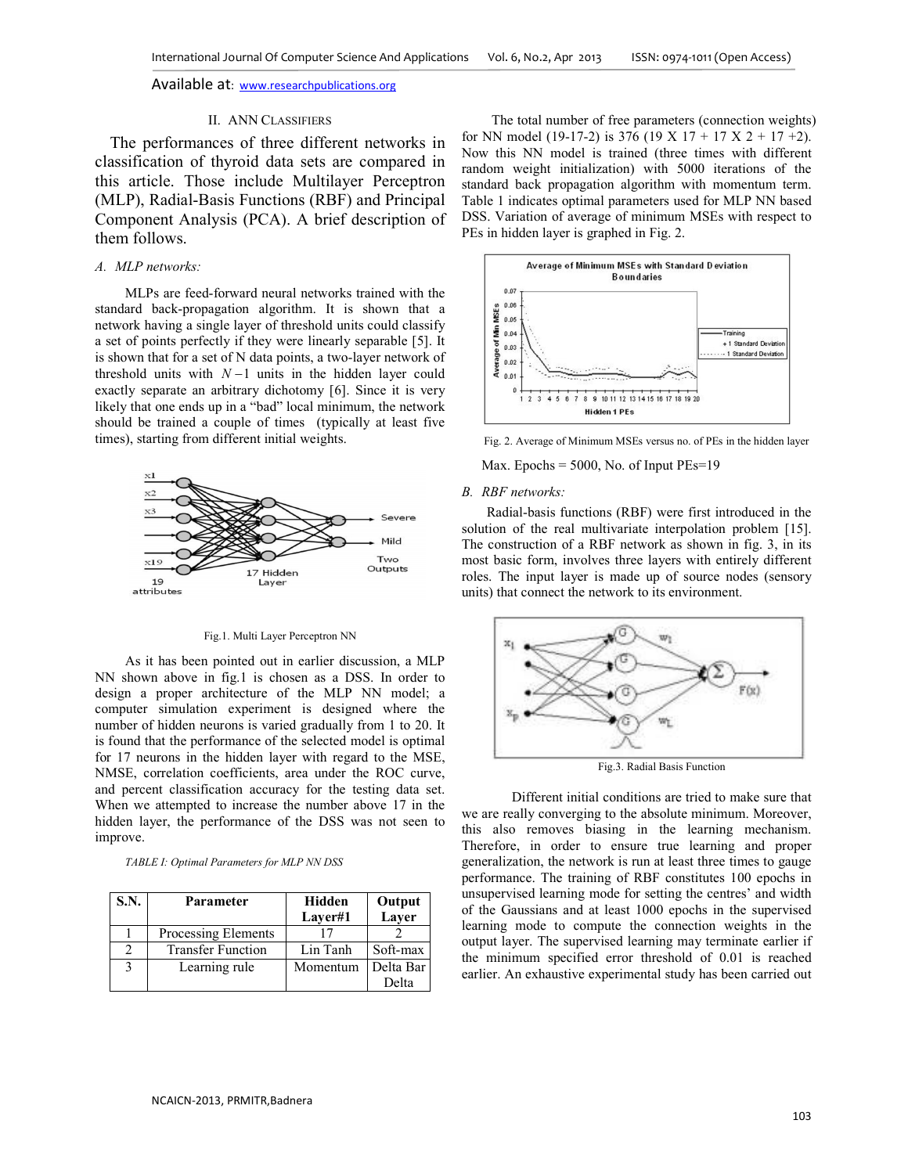## II. ANN CLASSIFIERS

The performances of three different networks in classification of thyroid data sets are compared in this article. Those include Multilayer Perceptron (MLP), Radial-Basis Functions (RBF) and Principal Component Analysis (PCA). A brief description of them follows.

# *A. MLP networks:*

MLPs are feed-forward neural networks trained with the standard back-propagation algorithm. It is shown that a network having a single layer of threshold units could classify a set of points perfectly if they were linearly separable [5]. It is shown that for a set of N data points, a two-layer network of threshold units with *N* −1 units in the hidden layer could exactly separate an arbitrary dichotomy [6]. Since it is very likely that one ends up in a "bad" local minimum, the network should be trained a couple of times (typically at least five times), starting from different initial weights.



#### Fig.1. Multi Layer Perceptron NN

As it has been pointed out in earlier discussion, a MLP NN shown above in fig.1 is chosen as a DSS. In order to design a proper architecture of the MLP NN model; a computer simulation experiment is designed where the number of hidden neurons is varied gradually from 1 to 20. It is found that the performance of the selected model is optimal for 17 neurons in the hidden layer with regard to the MSE, NMSE, correlation coefficients, area under the ROC curve, and percent classification accuracy for the testing data set. When we attempted to increase the number above 17 in the hidden layer, the performance of the DSS was not seen to improve.

*TABLE I: Optimal Parameters for MLP NN DSS*

| S.N. | Parameter                | Hidden<br>Laver#1 | Output<br>Layer |
|------|--------------------------|-------------------|-----------------|
|      | Processing Elements      |                   |                 |
|      | <b>Transfer Function</b> | Lin Tanh          | Soft-max        |
| 3    | Learning rule            | Momentum          | Delta Bar       |
|      |                          |                   | Delta           |

The total number of free parameters (connection weights) for NN model (19-17-2) is 376 (19 X 17 + 17 X 2 + 17 +2). Now this NN model is trained (three times with different random weight initialization) with 5000 iterations of the standard back propagation algorithm with momentum term. Table 1 indicates optimal parameters used for MLP NN based DSS. Variation of average of minimum MSEs with respect to PEs in hidden layer is graphed in Fig. 2.



Fig. 2. Average of Minimum MSEs versus no. of PEs in the hidden layer

Max. Epochs = 5000, No. of Input PEs=19

#### *B. RBF networks:*

Radial-basis functions (RBF) were first introduced in the solution of the real multivariate interpolation problem [15]. The construction of a RBF network as shown in fig. 3, in its most basic form, involves three layers with entirely different roles. The input layer is made up of source nodes (sensory units) that connect the network to its environment.



Fig.3. Radial Basis Function

Different initial conditions are tried to make sure that we are really converging to the absolute minimum. Moreover, this also removes biasing in the learning mechanism. Therefore, in order to ensure true learning and proper generalization, the network is run at least three times to gauge performance. The training of RBF constitutes 100 epochs in unsupervised learning mode for setting the centres' and width of the Gaussians and at least 1000 epochs in the supervised learning mode to compute the connection weights in the output layer. The supervised learning may terminate earlier if the minimum specified error threshold of 0.01 is reached earlier. An exhaustive experimental study has been carried out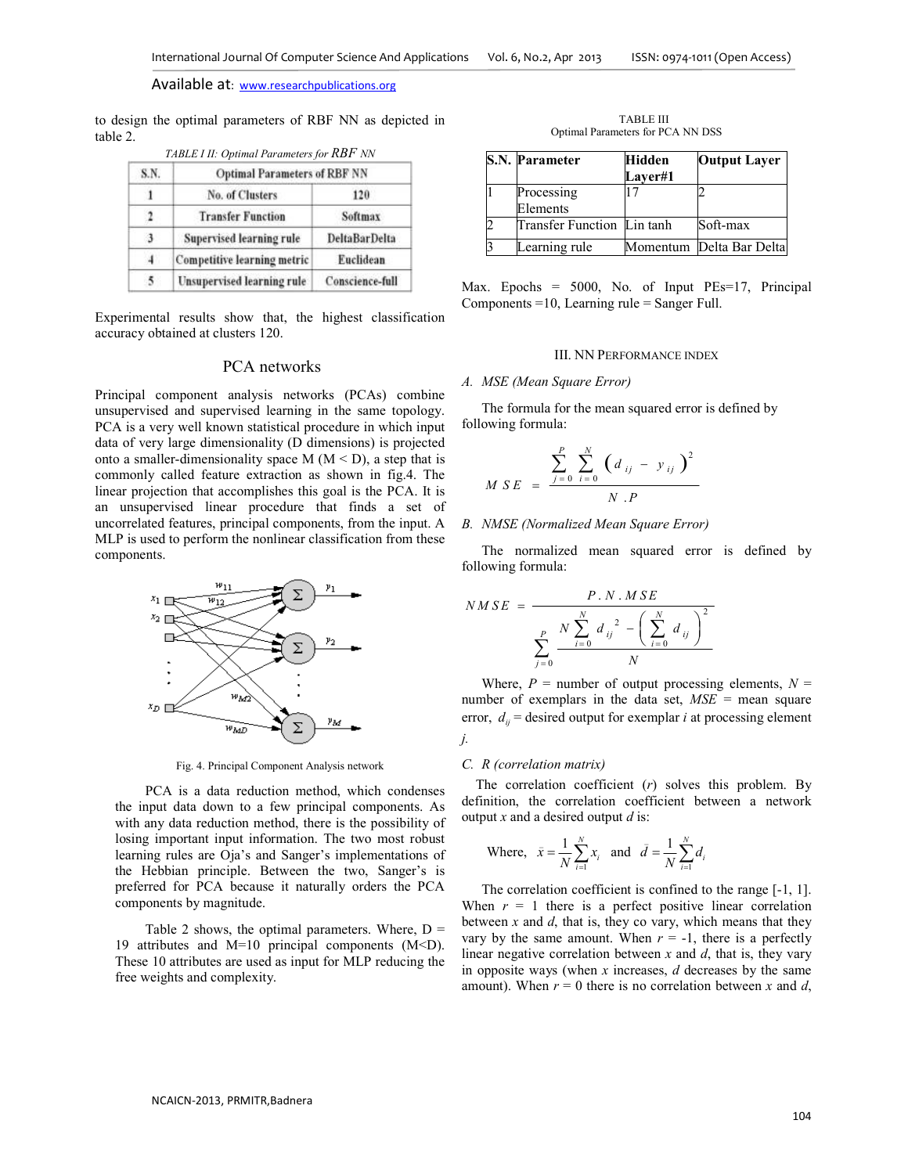to design the optimal parameters of RBF NN as depicted in table 2. *TABLE I II: Optimal Parameters for RBF NN*

| S.N.         | <b>Optimal Parameters of RBF NN</b> |                      |
|--------------|-------------------------------------|----------------------|
|              | No. of Clusters                     | 120                  |
| $\mathbf{r}$ | <b>Transfer Function</b>            | Softmax              |
| 3            | Supervised learning rule            | <b>DeltaBarDelta</b> |
| 4            | <b>Competitive learning metric</b>  | Euclidean            |
| $\sim$       | Unsupervised learning rule          | Conscience-full      |

Experimental results show that, the highest classification accuracy obtained at clusters 120.

# PCA networks

Principal component analysis networks (PCAs) combine unsupervised and supervised learning in the same topology. PCA is a very well known statistical procedure in which input data of very large dimensionality (D dimensions) is projected onto a smaller-dimensionality space  $M (M < D)$ , a step that is commonly called feature extraction as shown in fig.4. The linear projection that accomplishes this goal is the PCA. It is an unsupervised linear procedure that finds a set of uncorrelated features, principal components, from the input. A MLP is used to perform the nonlinear classification from these components.



Fig. 4. Principal Component Analysis network

PCA is a data reduction method, which condenses the input data down to a few principal components. As with any data reduction method, there is the possibility of losing important input information. The two most robust learning rules are Oja's and Sanger's implementations of the Hebbian principle. Between the two, Sanger's is preferred for PCA because it naturally orders the PCA components by magnitude.

Table 2 shows, the optimal parameters. Where,  $D =$ 19 attributes and M=10 principal components (M<D). These 10 attributes are used as input for MLP reducing the free weights and complexity.

TABLE III Optimal Parameters for PCA NN DSS

| <b>S.N. Parameter</b>      | Hidden<br><b>Laver#1</b> | <b>Output Layer</b>      |
|----------------------------|--------------------------|--------------------------|
| Processing<br>Elements     | 17                       |                          |
| Transfer Function Lin tanh |                          | Soft-max                 |
| earning rule               |                          | Momentum Delta Bar Delta |

Max. Epochs = 5000, No. of Input PEs=17, Principal Components =10, Learning rule = Sanger Full.

#### III. NN PERFORMANCE INDEX

#### *A. MSE (Mean Square Error)*

The formula for the mean squared error is defined by following formula:

$$
M\,S\,E\,=\,\frac{\sum_{j=0}^{P}\,\sum_{i=0}^{N}\,\left(d_{ij}\,-\,y_{ij}\,\right)^{2}}{N\,.\,P}
$$

### *B. NMSE (Normalized Mean Square Error)*

The normalized mean squared error is defined by following formula:

$$
NMSE = \frac{P. N. MSE}{\sum_{j=0}^{P} \frac{N \sum_{i=0}^{N} d_{ij}^{2} - (\sum_{i=0}^{N} d_{ij})^{2}}{N}}
$$

Where,  $P =$  number of output processing elements,  $N =$ number of exemplars in the data set, *MSE* = mean square error,  $d_{ii}$  = desired output for exemplar *i* at processing element *j.* 

#### *C. R (correlation matrix)*

The correlation coefficient (*r*) solves this problem. By definition, the correlation coefficient between a network output *x* and a desired output *d* is:

Where, 
$$
\bar{x} = \frac{1}{N} \sum_{i=1}^{N} x_i
$$
 and  $\bar{d} = \frac{1}{N} \sum_{i=1}^{N} d_i$ 

The correlation coefficient is confined to the range [-1, 1]. When  $r = 1$  there is a perfect positive linear correlation between *x* and *d*, that is, they co vary, which means that they vary by the same amount. When  $r = -1$ , there is a perfectly linear negative correlation between *x* and *d*, that is, they vary in opposite ways (when *x* increases, *d* decreases by the same amount). When  $r = 0$  there is no correlation between x and d,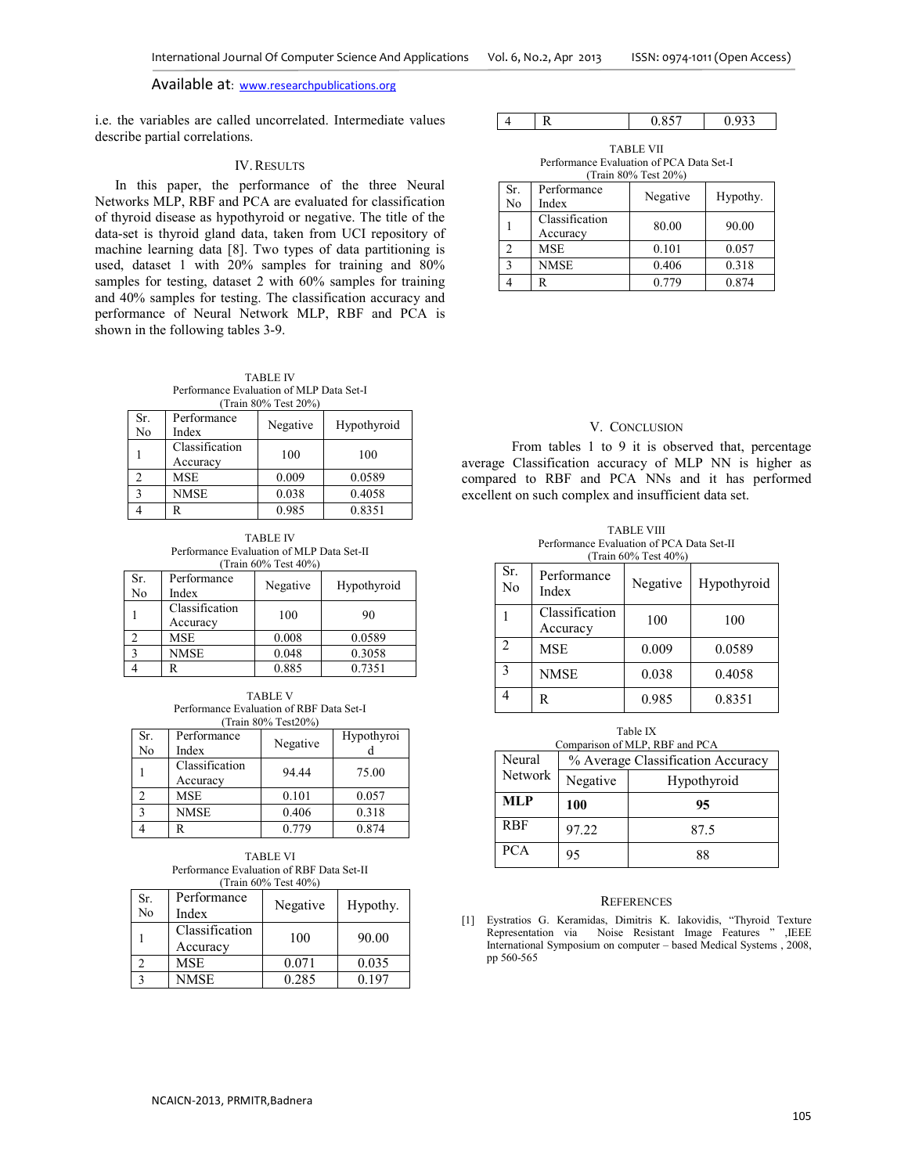i.e. the variables are called uncorrelated. Intermediate values describe partial correlations.

## IV.RESULTS

In this paper, the performance of the three Neural Networks MLP, RBF and PCA are evaluated for classification of thyroid disease as hypothyroid or negative. The title of the data-set is thyroid gland data, taken from UCI repository of machine learning data [8]. Two types of data partitioning is used, dataset 1 with 20% samples for training and 80% samples for testing, dataset 2 with 60% samples for training and 40% samples for testing. The classification accuracy and performance of Neural Network MLP, RBF and PCA is shown in the following tables 3-9.

TABLE IV Performance Evaluation of MLP Data Set-I (Train 80% Test 20%)

| Sr.<br>No | Performance<br>Index       | Negative | Hypothyroid |
|-----------|----------------------------|----------|-------------|
|           | Classification<br>Accuracy | 100      | 100         |
|           | <b>MSE</b>                 | 0.009    | 0.0589      |
|           | <b>NMSE</b>                | 0.038    | 0.4058      |
|           | R                          | 0.985    | 0.8351      |

TABLE IV Performance Evaluation of MLP Data Set-II (Train 60% Test 40%)

|                   |                            | 11W111 0070 1008 1070 |             |
|-------------------|----------------------------|-----------------------|-------------|
| Sr.<br>No         | Performance<br>Index       | Negative              | Hypothyroid |
|                   | Classification<br>Accuracy | 100                   | 90          |
|                   | <b>MSE</b>                 | 0.008                 | 0.0589      |
| $\mathbf{\Omega}$ | <b>NMSE</b>                | 0.048                 | 0.3058      |
|                   |                            | 0.885                 | 0.7351      |

TABLE V Performance Evaluation of RBF Data Set-I (Train 80% Test20%)

| Sr.<br>No | Performance<br>Index       | Negative | Hypothyroi |
|-----------|----------------------------|----------|------------|
|           | Classification<br>Accuracy | 94.44    | 75.00      |
|           | <b>MSE</b>                 | 0.101    | 0.057      |
|           | NMSE                       | 0.406    | 0.318      |
|           |                            | 0.779    | 0.874      |

TABLE VI Performance Evaluation of RBF Data Set-II (Train 60% Test 40%)

| Sr.<br>No | Performance<br>Index       | Negative | Hypothy. |
|-----------|----------------------------|----------|----------|
|           | Classification<br>Accuracy | 100      | 90.00    |
|           | <b>MSE</b>                 | 0.071    | 0.035    |
|           | NMSE                       | 0.285    | 0.197    |

|  | $\bigcap$<br>$\sim$<br>ы<br>. . |  |
|--|---------------------------------|--|
|--|---------------------------------|--|

TABLE VII Performance Evaluation of PCA Data Set-I (Train 80% Test 20%)

| Sr.<br>No          | Performance<br>Index       | Negative | Hypothy. |
|--------------------|----------------------------|----------|----------|
|                    | Classification<br>Accuracy | 80.00    | 90.00    |
|                    | <b>MSE</b>                 | 0.101    | 0.057    |
| $\mathbf{\hat{z}}$ | <b>NMSE</b>                | 0.406    | 0.318    |
|                    | R                          | 0.779    | 0.874    |

## V. CONCLUSION

From tables 1 to 9 it is observed that, percentage average Classification accuracy of MLP NN is higher as compared to RBF and PCA NNs and it has performed excellent on such complex and insufficient data set.

TABLE VIII Performance Evaluation of PCA Data Set-II (Train 60% Test 40%)

| Sr.<br>N <sub>0</sub> | Performance<br>Index       | Negative | Hypothyroid |
|-----------------------|----------------------------|----------|-------------|
|                       | Classification<br>Accuracy | 100      | 100         |
| $\mathfrak{D}$        | <b>MSE</b>                 | 0.009    | 0.0589      |
| $\mathbf{3}$          | <b>NMSE</b>                | 0.038    | 0.4058      |
|                       | R                          | 0.985    | 0.8351      |

| Table IX<br>Comparison of MLP, RBF and PCA |          |                                   |  |  |
|--------------------------------------------|----------|-----------------------------------|--|--|
| Neural                                     |          | % Average Classification Accuracy |  |  |
| <b>Network</b>                             | Negative | Hypothyroid                       |  |  |
| MLP                                        | 100      | 95                                |  |  |
| <b>RBF</b>                                 | 97.22    | 87.5                              |  |  |
|                                            |          |                                   |  |  |

#### **REFERENCES**

[1] Eystratios G. Keramidas, Dimitris K. Iakovidis, "Thyroid Texture Representation via Noise Resistant Image Features " ,IEEE International Symposium on computer – based Medical Systems , 2008, pp 560-565